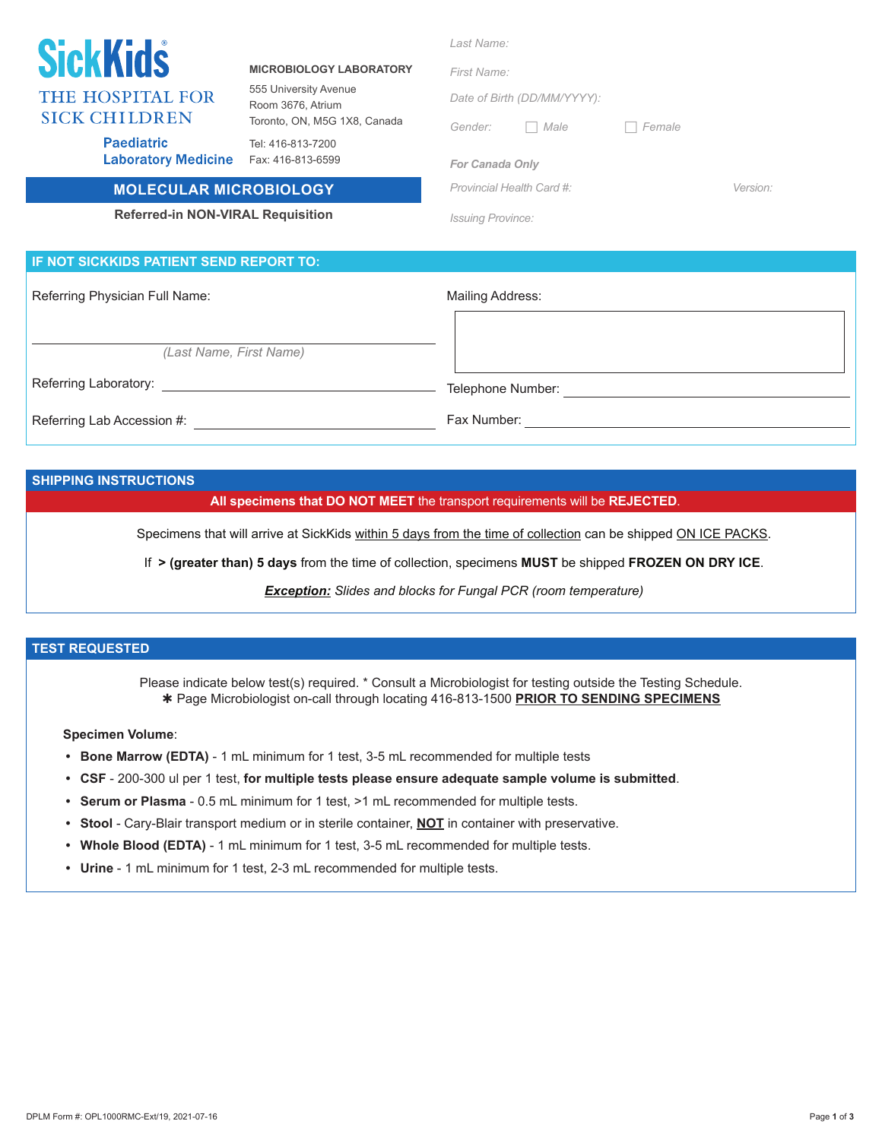| <b>SickKids</b><br>THE HOSPITAL FOR<br><b>SICK CHILDREN</b><br><b>Paediatric</b><br><b>Laboratory Medicine</b> | <b>MICROBIOLOGY LABORATORY</b><br>555 University Avenue<br>Room 3676, Atrium<br>Toronto, ON, M5G 1X8, Canada<br>Tel: 416-813-7200<br>Fax: 416-813-6599 | Last Name:<br>First Name:<br>Date of Birth (DD/MM/YYYY):<br>Male<br>Gender:<br>$\Box$<br><b>For Canada Only</b> | Female   |  |
|----------------------------------------------------------------------------------------------------------------|--------------------------------------------------------------------------------------------------------------------------------------------------------|-----------------------------------------------------------------------------------------------------------------|----------|--|
| <b>MOLECULAR MICROBIOLOGY</b>                                                                                  |                                                                                                                                                        | Provincial Health Card #:                                                                                       | Version: |  |
| <b>Referred-in NON-VIRAL Requisition</b>                                                                       |                                                                                                                                                        | <b>Issuing Province:</b>                                                                                        |          |  |
| IF NOT SICKKIDS PATIENT SEND REPORT TO:                                                                        |                                                                                                                                                        |                                                                                                                 |          |  |
| Referring Physician Full Name:                                                                                 |                                                                                                                                                        | Mailing Address:                                                                                                |          |  |
| (Last Name, First Name)                                                                                        |                                                                                                                                                        |                                                                                                                 |          |  |

Referring Laboratory: Telephone Number:

Referring Lab Accession #: Fax Number:

#### **SHIPPING INSTRUCTIONS**

**All specimens that DO NOT MEET** the transport requirements will be **REJECTED**.

Specimens that will arrive at SickKids within 5 days from the time of collection can be shipped ON ICE PACKS.

If **> (greater than) 5 days** from the time of collection, specimens **MUST** be shipped **FROZEN ON DRY ICE**.

*Exception: Slides and blocks for Fungal PCR (room temperature)*

### **TEST REQUESTED**

Please indicate below test(s) required. \* Consult a Microbiologist for testing outside the Testing Schedule. Page Microbiologist on-call through locating 416-813-1500 **PRIOR TO SENDING SPECIMENS**

#### **Specimen Volume**:

- **• Bone Marrow (EDTA)**  1 mL minimum for 1 test, 3-5 mL recommended for multiple tests
- **• CSF** 200-300 ul per 1 test, **for multiple tests please ensure adequate sample volume is submitted**.
- **• Serum or Plasma** 0.5 mL minimum for 1 test, >1 mL recommended for multiple tests.
- **• Stool** Cary-Blair transport medium or in sterile container, **NOT** in container with preservative.
- **• Whole Blood (EDTA)**  1 mL minimum for 1 test, 3-5 mL recommended for multiple tests.
- **• Urine**  1 mL minimum for 1 test, 2-3 mL recommended for multiple tests.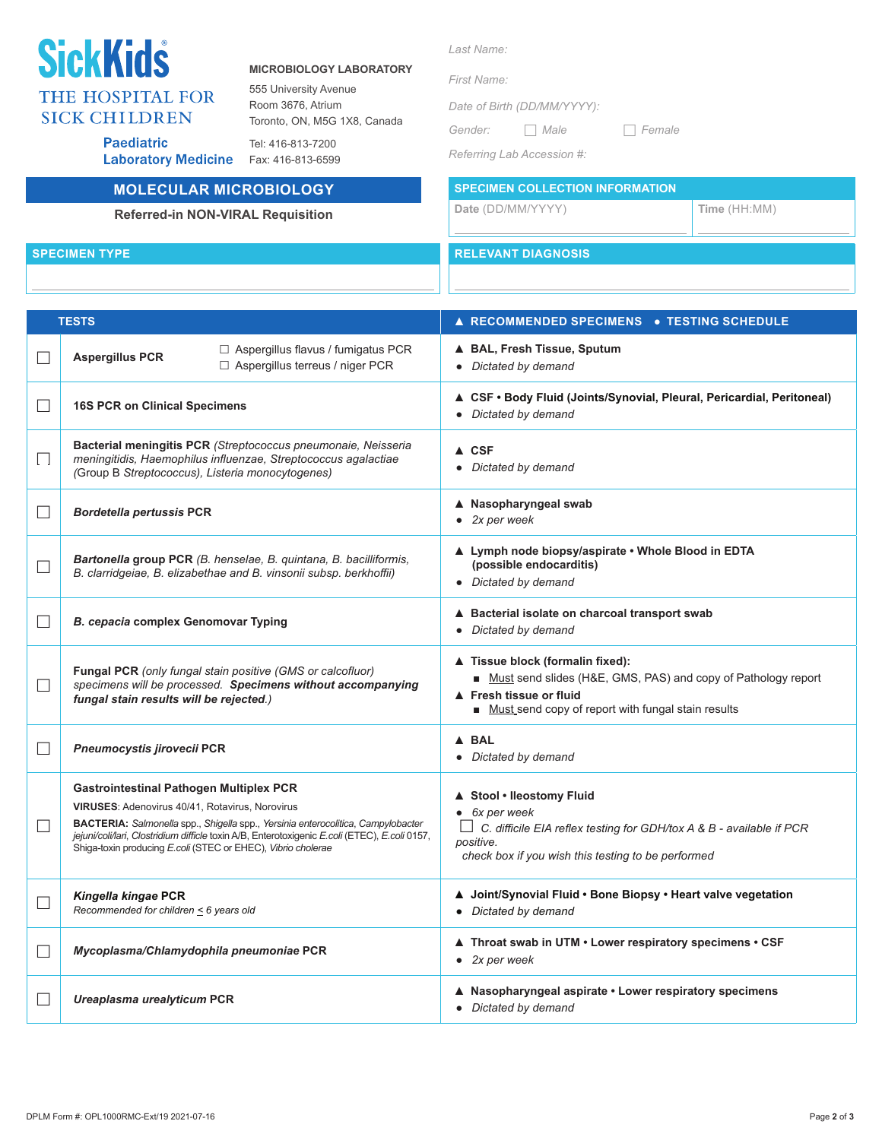# **SickKids** THE HOSPITAL FOR **SICK CHILDREN**

**Paediatric** 

#### **MICROBIOLOGY LABORATORY**

555 University Avenue Room 3676, Atrium Toronto, ON, M5G 1X8, Canada

Tel: 416-813-7200 Laboratory Medicine Fax: 416-813-6599

## **MOLECULAR MICROBIOLOGY**

### **Referred-in NON-VIRAL Requisition**

| Last Name: |
|------------|
|            |

*First Name:* 

*Date of Birth (DD/MM/YYYY):*

*Gender: Male Female*

*Referring Lab Accession #:*

**SPECIMEN COLLECTION INFORMATION**

**Date** (DD/MM/YYYY) **Time** (HH:MM)

**SPECIMEN TYPE RELEVANT DIAGNOSIS** 

| <b>TESTS</b> |                                                                                                                                                                                                                                                                                                                                                        | <b>A RECOMMENDED SPECIMENS . TESTING SCHEDULE</b>                                                                                                                                        |  |  |
|--------------|--------------------------------------------------------------------------------------------------------------------------------------------------------------------------------------------------------------------------------------------------------------------------------------------------------------------------------------------------------|------------------------------------------------------------------------------------------------------------------------------------------------------------------------------------------|--|--|
| $\Box$       | $\Box$ Aspergillus flavus / fumigatus PCR<br><b>Aspergillus PCR</b><br>□ Aspergillus terreus / niger PCR                                                                                                                                                                                                                                               | ▲ BAL, Fresh Tissue, Sputum<br>• Dictated by demand                                                                                                                                      |  |  |
| П            | <b>16S PCR on Clinical Specimens</b>                                                                                                                                                                                                                                                                                                                   | ▲ CSF • Body Fluid (Joints/Synovial, Pleural, Pericardial, Peritoneal)<br>Dictated by demand                                                                                             |  |  |
| $\Box$       | Bacterial meningitis PCR (Streptococcus pneumonaie, Neisseria<br>meningitidis, Haemophilus influenzae, Streptococcus agalactiae<br>(Group B Streptococcus), Listeria monocytogenes)                                                                                                                                                                    | $\triangle$ CSF<br>• Dictated by demand                                                                                                                                                  |  |  |
| $\Box$       | <b>Bordetella pertussis PCR</b>                                                                                                                                                                                                                                                                                                                        | ▲ Nasopharyngeal swab<br>$\bullet$ 2x per week                                                                                                                                           |  |  |
| $\Box$       | Bartonella group PCR (B. henselae, B. quintana, B. bacilliformis,<br>B. clarridgeiae, B. elizabethae and B. vinsonii subsp. berkhoffii)                                                                                                                                                                                                                | ▲ Lymph node biopsy/aspirate • Whole Blood in EDTA<br>(possible endocarditis)<br>• Dictated by demand                                                                                    |  |  |
| $\Box$       | B. cepacia complex Genomovar Typing                                                                                                                                                                                                                                                                                                                    | ▲ Bacterial isolate on charcoal transport swab<br>Dictated by demand<br>$\bullet$                                                                                                        |  |  |
| $\Box$       | Fungal PCR (only fungal stain positive (GMS or calcofluor)<br>specimens will be processed. Specimens without accompanying<br>fungal stain results will be rejected.)                                                                                                                                                                                   | ▲ Tissue block (formalin fixed):<br>Must send slides (H&E, GMS, PAS) and copy of Pathology report<br>▲ Fresh tissue or fluid<br>Must_send copy of report with fungal stain results       |  |  |
| $\Box$       | Pneumocystis jirovecii PCR                                                                                                                                                                                                                                                                                                                             | A BAL<br>Dictated by demand<br>$\bullet$                                                                                                                                                 |  |  |
| $\Box$       | <b>Gastrointestinal Pathogen Multiplex PCR</b><br>VIRUSES: Adenovirus 40/41, Rotavirus, Norovirus<br>BACTERIA: Salmonella spp., Shigella spp., Yersinia enterocolitica, Campylobacter<br>jejuni/coli/lari, Clostridium difficle toxin A/B, Enterotoxigenic E.coli (ETEC), E.coli 0157,<br>Shiga-toxin producing E.coli (STEC or EHEC), Vibrio cholerae | ▲ Stool • Ileostomy Fluid<br>6x per week<br>ш<br>C. difficile EIA reflex testing for GDH/tox A & B - available if PCR<br>positive.<br>check box if you wish this testing to be performed |  |  |
| $\Box$       | Kingella kingae PCR<br>Recommended for children $\leq$ 6 years old                                                                                                                                                                                                                                                                                     | ▲ Joint/Synovial Fluid • Bone Biopsy • Heart valve vegetation<br>Dictated by demand<br>$\bullet$                                                                                         |  |  |
| $\Box$       | Mycoplasma/Chlamydophila pneumoniae PCR                                                                                                                                                                                                                                                                                                                | ▲ Throat swab in UTM • Lower respiratory specimens • CSF<br>$\bullet$ 2x per week                                                                                                        |  |  |
| $\Box$       | Ureaplasma urealyticum PCR                                                                                                                                                                                                                                                                                                                             | ▲ Nasopharyngeal aspirate • Lower respiratory specimens<br>Dictated by demand<br>$\bullet$                                                                                               |  |  |